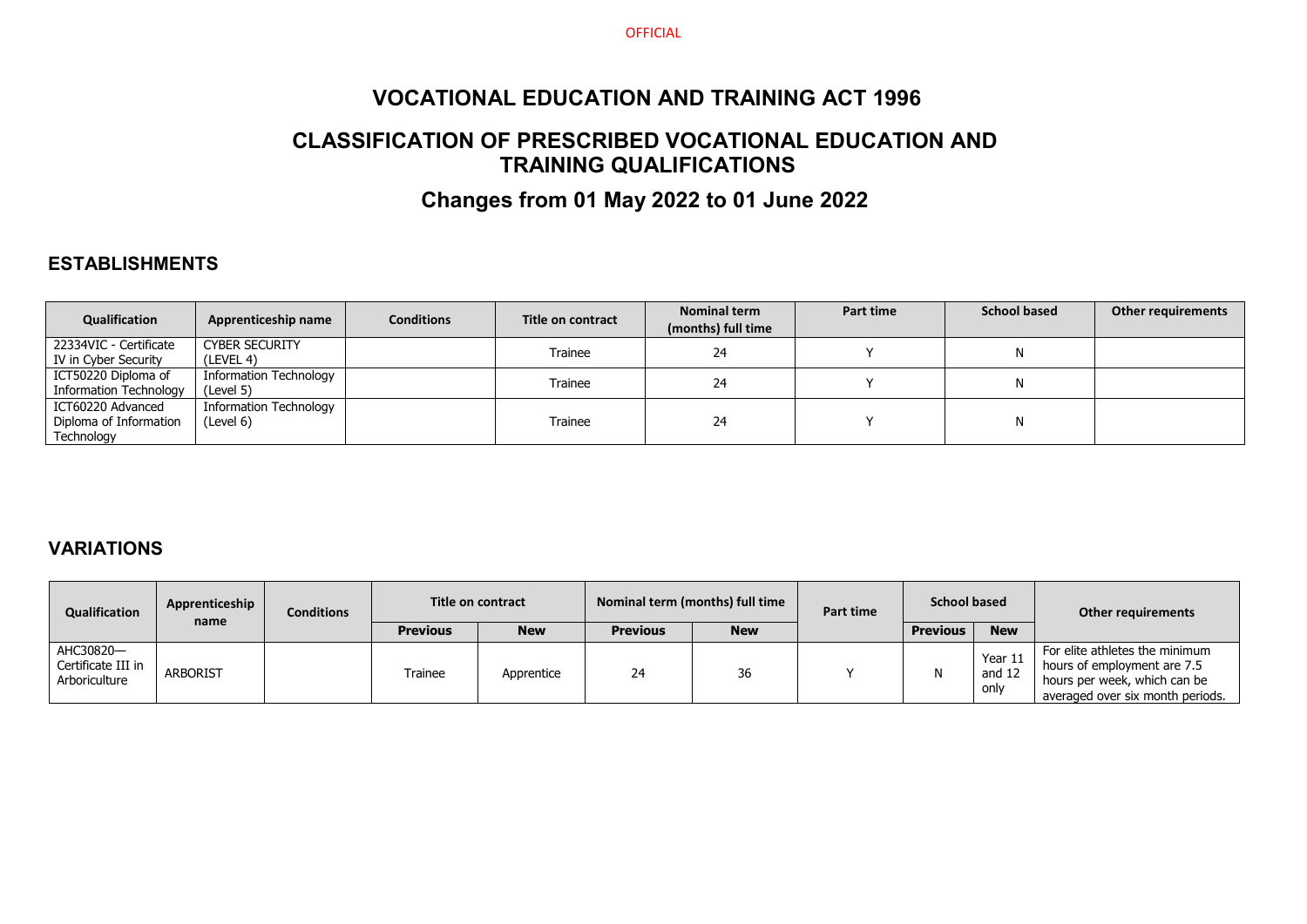**OFFICIAL** 

## **VOCATIONAL EDUCATION AND TRAINING ACT 1996**

## **CLASSIFICATION OF PRESCRIBED VOCATIONAL EDUCATION AND TRAINING QUALIFICATIONS**

# **Changes from 01 May 2022 to 01 June 2022**

#### **ESTABLISHMENTS**

| <b>Qualification</b>                                      | Apprenticeship name                 | <b>Conditions</b> | Title on contract | Nominal term<br>(months) full time | Part time | <b>School based</b> | <b>Other requirements</b> |
|-----------------------------------------------------------|-------------------------------------|-------------------|-------------------|------------------------------------|-----------|---------------------|---------------------------|
| 22334VIC - Certificate<br>IV in Cyber Security            | <b>CYBER SECURITY</b><br>(LEVEL 4)  |                   | Trainee           | 24                                 |           | N                   |                           |
| ICT50220 Diploma of<br>Information Technology             | Information Technology<br>(Level 5) |                   | Trainee           | 24                                 |           | N                   |                           |
| ICT60220 Advanced<br>Diploma of Information<br>Technology | Information Technology<br>(Level 6) |                   | Trainee           | 24                                 |           | N                   |                           |

### **VARIATIONS**

| <b>Qualification</b>                             | Apprenticeship<br>name |  |                 |            | <b>Conditions</b> |            | Title on contract |                 | Nominal term (months) full time | Part time                                                                                                                         | <b>School based</b> |  | Other requirements |
|--------------------------------------------------|------------------------|--|-----------------|------------|-------------------|------------|-------------------|-----------------|---------------------------------|-----------------------------------------------------------------------------------------------------------------------------------|---------------------|--|--------------------|
|                                                  |                        |  | <b>Previous</b> | <b>New</b> | <b>Previous</b>   | <b>New</b> |                   | <b>Previous</b> | <b>New</b>                      |                                                                                                                                   |                     |  |                    |
| AHC30820-<br>Certificate III in<br>Arboriculture | <b>ARBORIST</b>        |  | Trainee         | Apprentice | 24                | 36         |                   | N               | Year $11$<br>and 12<br>only     | For elite athletes the minimum<br>hours of employment are 7.5<br>hours per week, which can be<br>averaged over six month periods. |                     |  |                    |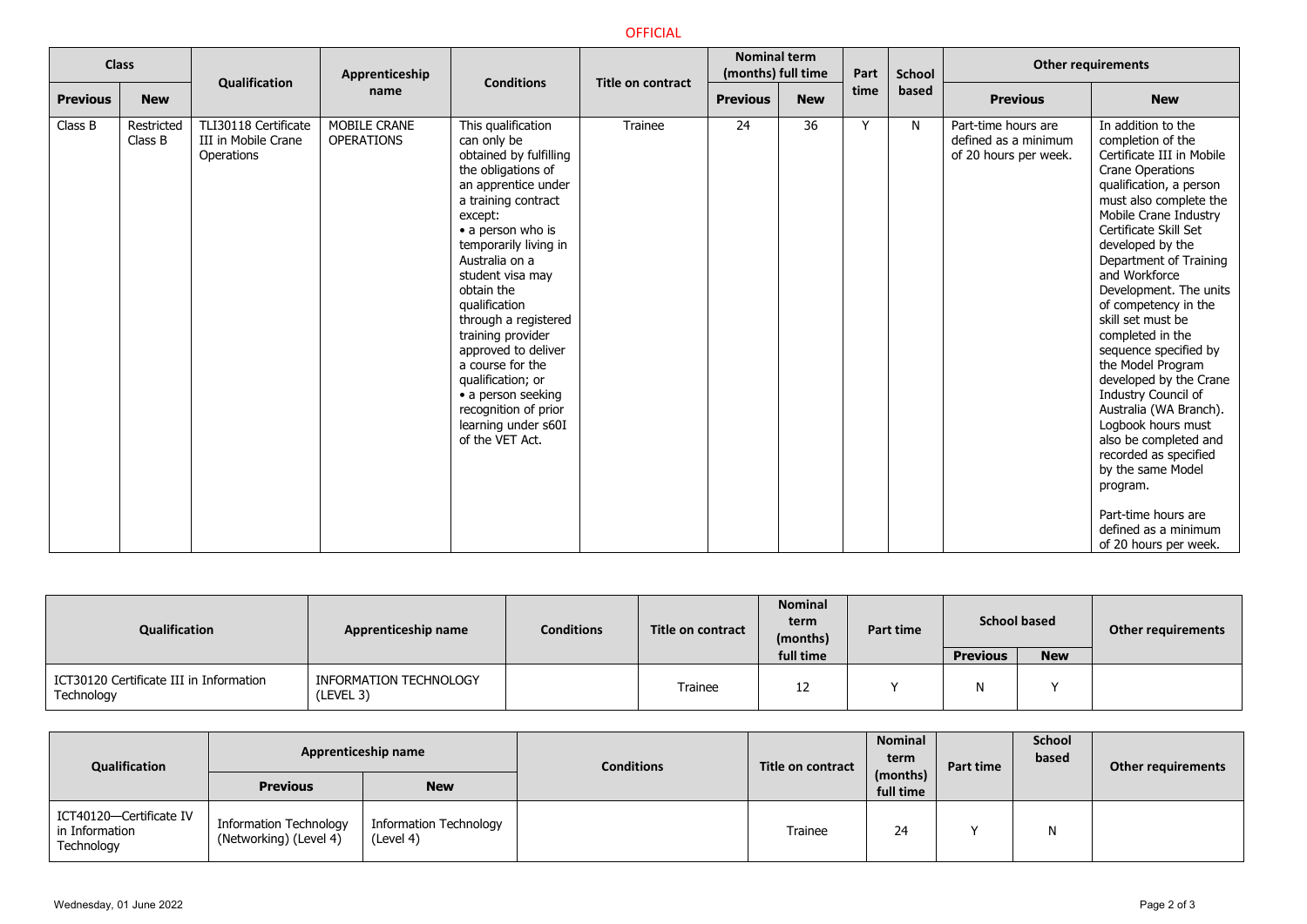#### OFFICIAL

|                 | <b>Class</b>          | Qualification                                             | Apprenticeship                    | <b>Conditions</b>                                                                                                                                                                                                                                                                                                                                                                                                                                                  | <b>Title on contract</b> | <b>Nominal term</b><br>(months) full time |            | Part | <b>School</b> |                                                                      | <b>Other requirements</b>                                                                                                                                                                                                                                                                                                                                                                                                                                                                                                                                                                                                                                                  |
|-----------------|-----------------------|-----------------------------------------------------------|-----------------------------------|--------------------------------------------------------------------------------------------------------------------------------------------------------------------------------------------------------------------------------------------------------------------------------------------------------------------------------------------------------------------------------------------------------------------------------------------------------------------|--------------------------|-------------------------------------------|------------|------|---------------|----------------------------------------------------------------------|----------------------------------------------------------------------------------------------------------------------------------------------------------------------------------------------------------------------------------------------------------------------------------------------------------------------------------------------------------------------------------------------------------------------------------------------------------------------------------------------------------------------------------------------------------------------------------------------------------------------------------------------------------------------------|
| <b>Previous</b> | <b>New</b>            |                                                           | name                              |                                                                                                                                                                                                                                                                                                                                                                                                                                                                    |                          | <b>Previous</b>                           | <b>New</b> | time | based         | <b>Previous</b>                                                      | <b>New</b>                                                                                                                                                                                                                                                                                                                                                                                                                                                                                                                                                                                                                                                                 |
| Class B         | Restricted<br>Class B | TLI30118 Certificate<br>III in Mobile Crane<br>Operations | MOBILE CRANE<br><b>OPERATIONS</b> | This qualification<br>can only be<br>obtained by fulfilling<br>the obligations of<br>an apprentice under<br>a training contract<br>except:<br>• a person who is<br>temporarily living in<br>Australia on a<br>student visa may<br>obtain the<br>qualification<br>through a registered<br>training provider<br>approved to deliver<br>a course for the<br>qualification; or<br>• a person seeking<br>recognition of prior<br>learning under s60I<br>of the VET Act. | Trainee                  | 24                                        | 36         | ٧    | N             | Part-time hours are<br>defined as a minimum<br>of 20 hours per week. | In addition to the<br>completion of the<br>Certificate III in Mobile<br><b>Crane Operations</b><br>qualification, a person<br>must also complete the<br>Mobile Crane Industry<br>Certificate Skill Set<br>developed by the<br>Department of Training<br>and Workforce<br>Development. The units<br>of competency in the<br>skill set must be<br>completed in the<br>sequence specified by<br>the Model Program<br>developed by the Crane<br>Industry Council of<br>Australia (WA Branch).<br>Logbook hours must<br>also be completed and<br>recorded as specified<br>by the same Model<br>program.<br>Part-time hours are<br>defined as a minimum<br>of 20 hours per week. |

| Qualification                                         | Apprenticeship name                 | <b>Conditions</b> | Title on contract | <b>Nominal</b><br>term<br>(months) | Part time | <b>School based</b> |            | <b>Other requirements</b> |
|-------------------------------------------------------|-------------------------------------|-------------------|-------------------|------------------------------------|-----------|---------------------|------------|---------------------------|
|                                                       |                                     |                   |                   | full time                          |           | <b>Previous</b>     | <b>New</b> |                           |
| ICT30120 Certificate III in Information<br>Technology | INFORMATION TECHNOLOGY<br>(LEVEL 3) |                   | Trainee           | 12                                 |           | N                   |            |                           |

| Qualification                                           | Apprenticeship name                                     |                                     | <b>Conditions</b> | Title on contract | <b>Nominal</b><br>term | Part time | <b>School</b><br>based | <b>Other requirements</b> |
|---------------------------------------------------------|---------------------------------------------------------|-------------------------------------|-------------------|-------------------|------------------------|-----------|------------------------|---------------------------|
|                                                         | <b>Previous</b>                                         | <b>New</b>                          |                   |                   | (months)<br>full time  |           |                        |                           |
| ICT40120-Certificate IV<br>in Information<br>Technology | <b>Information Technology</b><br>(Networking) (Level 4) | Information Technology<br>(Level 4) |                   | Trainee           | 24                     |           |                        |                           |